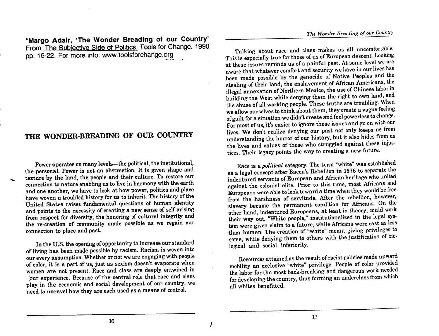\*Margo Adair, 'The Wonder Breading of our Country' From The Subjective Side of Politics. Tools for Change. 1990 pp. 16-22. For more info: www.toolsforchange.org

Power operates on many levels—the political, the institutional, the personal. Power is not an abstraction. It is given shape and texture by the land, the people and their culture. To restore our connection to nature enabling us to live in harmony with the earth and one another, we have to look at how power, politics and place have woven a troubled history for us to inherit. The history of the United States raises fundamental questions of human identity and points to the necessity of creating a new sense of self arising from respect for diversity, the honoring of cultural integrity and the re-creation of community made possible as we regain our

In the U.S. the opening of opportunity to increase our standard of living has been made possible by racism. Racism is woven into our every assumption. Whether or not we are engaging with people of color, it is a part of us, just as sexism doesn't evaporate when of color, it is a part of us, just as sexism women are not present. Race and class are deeply entwined in<br>Nour experience. Because of the central role that race and class four experience. Because of the central role that race and class play in the economic and social development of our country, we need to unravel how they are each used as a means of control.

Talking about race and class makes us all uncomfortable. This is especially true for those of us of European descent. Looking at these issues reminds us of a painful past. At some level we are aware that whatever comfort and security we have in our lives has been made possible by the genocide of Native Peoples and the stealing of their land, the enslavement of African Americans, the illegal annexation of Northern Mexico, the use of Chinese labor in building the West while denying them the right to own land, and the abuse of all working people. These truths are troubling. When we allow ourselves to think about them, they create a vague feeling of guilt for a situation we didn't create and feel powerless to change. For most of us, it's easier to ignore these issues and go on with our THE WONDER-BREADING OF OUR COUNTRY lives. We don't realize denying our past not only keeps us from understanding the horror of our history, but it also hides from us the lives and values of those who struggled against these injustices. Their legacy points the way to creating a new future.

Race is a political category. The term "white" was established as a legal concept after Bacon's Rebellion in 1676 to separate the indentured servants of European and African heritage who united against the colonial elite. Prior to this time, most Africans and Europeans were able to look toward a time when they would be free from the harshness of servitude. After the rebellion, however, slavery became the permanent condition for Africans. On the other hand, indentured Europeans, at least in theory, could work their way out. "White people," institutionalized in the legal system were given claim to a future, while Africans were cast as less connection to place and past.<br>than human. The creation of "white" meant giving privileges to some, while denying them to others with the justification of biological and social inferiority.

> Resources attained as the result of racist policies made upward mobility an exclusive "white" privilege. People of color provided the labor for the most back-breaking and dangerous work needed for developing the country, thus forming an underclass from which all whites benefitted.

16

17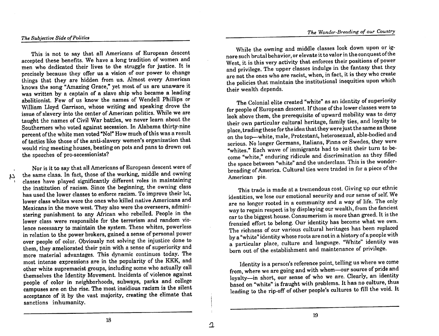## The Subjective Side of Politics

N

This is not to say that all Americans of European descent accepted these benefits. We have a long tradition of women and men who dedicated their lives to the struggle for justice. It is precisely because they offer us a vision of our power to change things that they are hidden from us. Almost every American knows the song "Amazing Grace," yet most of us are unaware it was written by a captain of a slave ship who became a leading abolitionist. Few of us know the names of Wendell Phillips or William Lloyd Garrison, whose writing and speaking drove the issue of slavery into the center of American politics. While we are taught the names of Civil War battles, we never learn about the Southerners who voted against secession. In Alabama thirty-nine percent of the white men voted "No!" How much of this was a result of tactics like those of the anti-slavery women's organization that would ring meeting houses, beating on pots and pans to drown out

Nor is it to say that all Americans of European descent were of the same class. In fact, those of the working, middle and owning classes have played significantly different roles in maintaining the institution of racism. Since the beginning, the owning class has used the lower classes to enforce racism. To improve their lot. lower class whites were the ones who killed native Americans and Iower class whites were the ones who killed native Americans and<br>Mexicans in the move west. They also were the overseers, admini-<br>wav to regain respect is by displaying our wealth, from the fanciest stering punishment to any African who rebelled. People in the lower class were responsible for the terrorism and random violence necessary to maintain the system. These whites, powerless in relation to the power brokers, gained a sense of personal power<br>over people of color. Obviously not solving the injustice done to In relation to the power brokers, gained a sense of personal power<br>over people of color. Obviously not solving the injustice done to<br>them, they ameliorated their pain with a sense of superiority and<br>the set of the setablis more material advantages. This dynamic continues today. The most intense expressions are in the popularity of the KKK, and other white supremacist groups, including some who actually call themselves the Identity Movement. Incidents of violence against people of color in neighborhoods, subways, parks and college campuses are on the rise. The most insidious racism is the silent acceptance of it by the vast majority, creating the climate that sanctions inhumanity.

While the owning and middle classes look down upon or ignore such brutal behavior, or elevate it to valor in the conquest of the West, it is this very activity that enforces their positions of power and privilege. The upper classes indulge in the fantasy that they are not the ones who are racist, when, in fact, it is they who create the policies that maintain the institutional inequities upon which their wealth depends.

The Colonial elite created "white" as an identity of superiority for people of European descent. If those of the lower classes were to look above them, the prerequisite of upward mobility was to deny their own particular cultural heritage, family ties, and loyalty to place, trading these for the idea that they were just the same as those on the top-white, male, Protestant, heterosexual, able-bodied and serious. No longer Germans, Italians, Finns or Swedes, they were "whites." Each wave of immigrants had to wait their turn to be-The speeches of pro-secessionists?<br>
come "white." enduring ridicule and discrimination as they filled the space between "white" and the underclass. This is the wonderbreading of America. Cultural ties were traded in for a piece of the American pie.

> This trade is made at a tremendous cost. Giving up our ethnic identities, we lose our emotional security and our sense of self. We car to the biggest house. Consumerism is more than greed. It is the frenzied effort to belong. Our identity has become what we own. The richness of our various cultural heritages has been replaced a particular place, culture and language. "White" identity was born out of the establishment and maintenance of privilege.

> Identity is a person's reference point, telling us where we come from, where we are going and with whom-our source of pride and loyalty-in short, our sense of who we are. Clearly, an identity based on "white" is fraught with problems. It has no culture, thus leading to the rip-off of other people's cultures to fill the void. It

18

19

 $\Delta$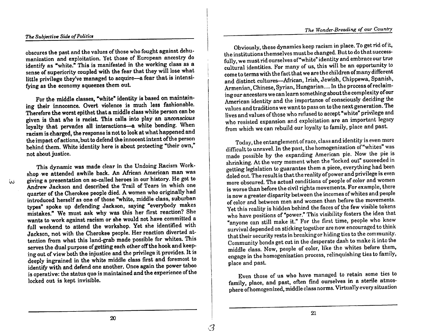# The Subjective Side of Politics

manization and exploitation. Yet those of European ancestry do fully, we must rid ourselves of "white" identity and embrace our true<br>identify as "white." This is manifested in the working class as a cultural identities. Fo identify as "white." This is manifested in the working class as a sense of superiority coupled with the fear that they will lose what identify as "white." This is manifested in the working class as a<br>sense of superiority coupled with the fear that they will lose what cultural identities. For many of us, this will be an opportunity to sense of superiority coupled with the fear that they will lose what come to terms with the fact that we are the children of many different control of many different come to terms with the fact that we are the children of m fying as the economy squeezes them out.

ing their innocence. Overt violence is much less fashionable.<br>Therefore the worst epithet that a middle class white person can be Therefore the worst epithet that a middle class white person can be values and traditions we want to pass on to the next generation. The values and traditions we want to pass on to the next generation. The values of those loyalty that pervades all interactions-a white bonding. When racism is charged, the response is not to look at what happened and<br>the impact of actions, but to defend the innocent intent of the person<br>modes the entanglement of race, class and identity is even more the impact of actions, but to defend the innocent intent of the person behind them. White identity here is about protecting "their own," not about justice.

giving a presentation on so-called heroes in our history. He got to Andrew Jackson and described the Trail of Tears in which one Andrew Jackson and described the Trail of Tears in which one<br>approved. The actual conditions of people of color and women<br>quarter of the Cherokee people died. A women who originally had<br>the contractive between the incomes Andrew Jackson and described the Trail of Tears in which one<br>quarter of the Cherokee people died. A women who originally had<br>is now a greater disparity between the incomes of whites and people<br>is now a greater disparity be types" spoke up defending Jackson, saying "everybody makes mistakes." We must ask why was this her first reaction? She wants to work against racism or she would not have committed a full weekend to attend the workshop. Yet she identified with wants to work against racism or she would not have committed a<br>
full weekend to attend the workshop. Yet she identified with<br>
Jackson, not with the Cherokee people. Her reaction diverted at The The Reaction of the Cherokee people. Her reaction diverted at<br>
Lackson, not with the Cherokee people. Her reaction diverted at<br>
tention from what this land-grab made possible for whites. This<br>
Community bords oft sut i Jackson, not with the Cherokee people. Her reaction querted at their security rests in breaking or hiding ties to the community.<br>
serves the dual purpose of getting each other off the hook and keep-<br>
This serves the dual p ing out of view both the injustice and the privilege it provides. It is deeply ingrained in the white middle class first and foremost to place and past. identify with and defend one another. Once again the power taboo is operative: the status quo is maintained and the experience of the locked out is kept invisible.

obscures the past and the values of those who fought against dehu-<br>the institutions themselves must be changed. But to do that successfully, we must rid ourselves of "white" identity and embrace our true and distinct cultures—African, Irish, Jewish, Chippewa, Spanish. Armenian, Chinese, Syrian, Hungarian.... In the process of reclaim-For the middle classes, "white" identity is based on maintain-<br>For the middle classes, "white" identity is based on maintain-<br>American identity and the importance of consciously deciding the lives and values of those who refused to accept "white" privilege and<br>who resisted expansion and exploitation are an important legacy<br>from which we can rebuild our loyalty to family, place and past.

difficult to unravel. In the past, the homogenization of "whites" was made possible by the expanding American pie. Now the pie is This dynamic was made clear in the Undoing Racism Work-<br>shop we attended awhile back. An African American man was<br>enting legislation to guarantee them a piece, everything had been<br>it is the very moment when a piece, everyt getting legislation to guarantee them a piece, everything had been doled out. The result is that the reality of power and privilege is even is now a greater disparity between the incomes of whites and people<br>of color and between men and women than before the movements. Yet this reality is hidden behind the faces of the few visible tokens who have positions of "power." This visibility fosters the idea that Community bonds get cut in the desperate dash to make it into the middle class. Now, people of color, like the whites before them, engage in the homogenization process, relinquishing ties to family, middle class. Now, people of color, like the whites before them,

> Even those of us who have managed to retain some ties to family, place, and past, often find ourselves in a sterile atmosphere of homogenized, middle class norms. Virtually every situation

ίN.